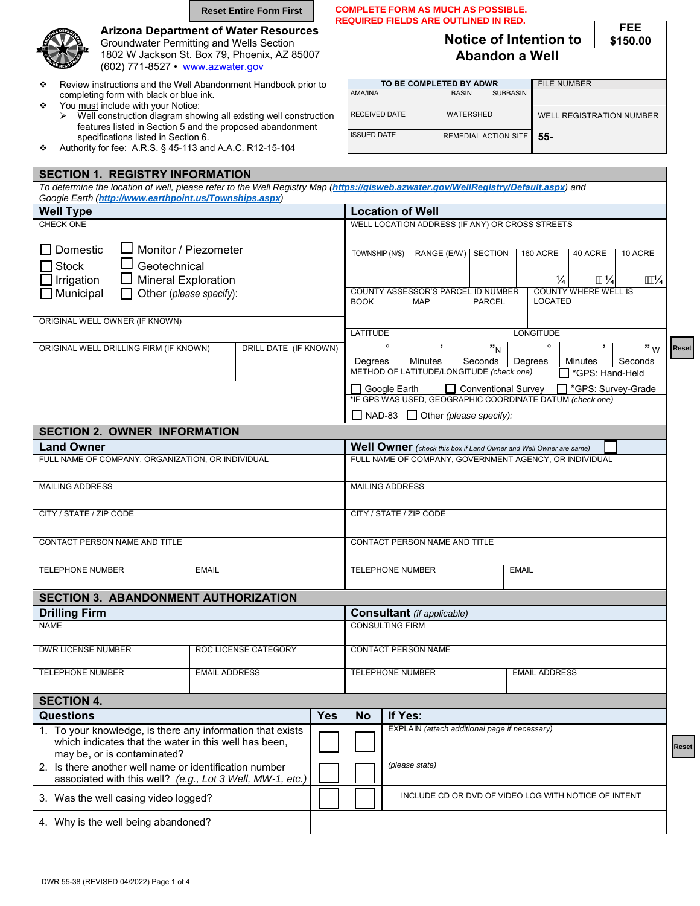|                                                                                                                                                                              | <b>Reset Entire Form First</b>                            | <b>COMPLETE FORM AS MUCH AS POSSIBLE.</b><br><b>REQUIRED FIELDS ARE OUTLINED IN RED.</b>                                |                                                                                                                             |                                  |                                                 |                                                                                                              |                  |                           |                                                |                                 |  |
|------------------------------------------------------------------------------------------------------------------------------------------------------------------------------|-----------------------------------------------------------|-------------------------------------------------------------------------------------------------------------------------|-----------------------------------------------------------------------------------------------------------------------------|----------------------------------|-------------------------------------------------|--------------------------------------------------------------------------------------------------------------|------------------|---------------------------|------------------------------------------------|---------------------------------|--|
| <b>Arizona Department of Water Resources</b><br>Groundwater Permitting and Wells Section<br>1802 W Jackson St. Box 79, Phoenix, AZ 85007<br>(602) 771-8527 • www.azwater.gov |                                                           |                                                                                                                         |                                                                                                                             |                                  | Notice of Intention to<br><b>Abandon a Well</b> |                                                                                                              |                  |                           | <b>FEE</b><br>\$150.00                         |                                 |  |
| Review instructions and the Well Abandonment Handbook prior to<br>❖                                                                                                          |                                                           | <b>AMA/INA</b>                                                                                                          |                                                                                                                             | TO BE COMPLETED BY ADWR          | <b>BASIN</b>                                    | <b>SUBBASIN</b>                                                                                              |                  | <b>FILE NUMBER</b>        |                                                |                                 |  |
| completing form with black or blue ink.<br>You must include with your Notice:<br>❖                                                                                           |                                                           |                                                                                                                         |                                                                                                                             |                                  |                                                 |                                                                                                              |                  |                           |                                                |                                 |  |
| $\triangleright$ Well construction diagram showing all existing well construction                                                                                            | features listed in Section 5 and the proposed abandonment |                                                                                                                         | RECEIVED DATE                                                                                                               |                                  | WATERSHED                                       |                                                                                                              |                  |                           |                                                | <b>WELL REGISTRATION NUMBER</b> |  |
| specifications listed in Section 6.<br>Authority for fee: A.R.S. § 45-113 and A.A.C. R12-15-104<br>❖                                                                         | <b>ISSUED DATE</b>                                        |                                                                                                                         |                                                                                                                             | REMEDIAL ACTION SITE             |                                                 |                                                                                                              | $55-$            |                           |                                                |                                 |  |
| Google Earth (http://www.earthpoint.us/Townships.aspx)<br><b>Well Type</b>                                                                                                   |                                                           |                                                                                                                         | <b>Location of Well</b>                                                                                                     |                                  |                                                 |                                                                                                              |                  |                           |                                                |                                 |  |
| CHECK ONE<br>Monitor / Piezometer<br>Domestic<br><b>Stock</b><br>Geotechnical<br>Irrigation<br><b>Mineral Exploration</b>                                                    |                                                           |                                                                                                                         | TOWNSHIP (N/S)                                                                                                              |                                  |                                                 | WELL LOCATION ADDRESS (IF ANY) OR CROSS STREETS<br>RANGE (E/W) SECTION<br>COUNTY ASSESSOR'S PARCEL ID NUMBER |                  | 160 ACRE<br>$\frac{1}{4}$ | 40 ACRE<br>11/4<br><b>COUNTY WHERE WELL IS</b> | 10 ACRE<br>$\frac{1111}{4}$     |  |
| $\Box$ Municipal<br>Other (please specify):                                                                                                                                  |                                                           | <b>BOOK</b>                                                                                                             |                                                                                                                             | <b>MAP</b>                       |                                                 | <b>PARCEL</b>                                                                                                |                  | <b>LOCATED</b>            |                                                |                                 |  |
| ORIGINAL WELL OWNER (IF KNOWN)                                                                                                                                               |                                                           | <b>LATITUDE</b>                                                                                                         |                                                                                                                             |                                  |                                                 |                                                                                                              | <b>LONGITUDE</b> |                           |                                                |                                 |  |
| ORIGINAL WELL DRILLING FIRM (IF KNOWN)                                                                                                                                       | DRILL DATE (IF KNOWN)                                     | Degrees                                                                                                                 | $\circ$                                                                                                                     | $\overline{ }$<br><b>Minutes</b> |                                                 | "N<br>Seconds<br>METHOD OF LATITUDE/LONGITUDE (check one)                                                    | Degrees          | $\circ$                   | $\,$<br><b>Minutes</b><br>SPS: Hand-Held       | $\mathbf{w}$ w<br>Seconds       |  |
|                                                                                                                                                                              |                                                           | □ Conventional Survey<br>GPS: Survey-Grade<br>Google Earth<br>*IF GPS WAS USED, GEOGRAPHIC COORDINATE DATUM (check one) |                                                                                                                             |                                  |                                                 |                                                                                                              |                  |                           |                                                |                                 |  |
|                                                                                                                                                                              |                                                           |                                                                                                                         |                                                                                                                             |                                  | $\Box$ NAD-83 $\Box$ Other (please specify):    |                                                                                                              |                  |                           |                                                |                                 |  |
| <b>SECTION 2. OWNER INFORMATION</b>                                                                                                                                          |                                                           |                                                                                                                         |                                                                                                                             |                                  |                                                 |                                                                                                              |                  |                           |                                                |                                 |  |
| <b>Land Owner</b><br>FULL NAME OF COMPANY, ORGANIZATION, OR INDIVIDUAL                                                                                                       |                                                           |                                                                                                                         | Well Owner (check this box if Land Owner and Well Owner are same)<br>FULL NAME OF COMPANY, GOVERNMENT AGENCY, OR INDIVIDUAL |                                  |                                                 |                                                                                                              |                  |                           |                                                |                                 |  |
|                                                                                                                                                                              |                                                           |                                                                                                                         |                                                                                                                             |                                  |                                                 |                                                                                                              |                  |                           |                                                |                                 |  |

**Reset** 

| <b>MAILING ADDRESS</b>        |              | <b>MAILING ADDRESS</b>        |       |
|-------------------------------|--------------|-------------------------------|-------|
|                               |              |                               |       |
| CITY / STATE / ZIP CODE       |              | CITY / STATE / ZIP CODE       |       |
|                               |              |                               |       |
| CONTACT PERSON NAME AND TITLE |              | CONTACT PERSON NAME AND TITLE |       |
|                               |              |                               |       |
| TELEPHONE NUMBER              | <b>EMAIL</b> | <b>TELEPHONE NUMBER</b>       | EMAIL |

| ORIGINAL WELL DRILLING FIRM (IF KNOWN)                                               |                                                                                                                          | DRILL DATE (IF KNOWN)  |            |                                                                                                                             |  |                               | "N                                                   |         |                | "w      | <b>Reset</b> |  |  |  |  |  |
|--------------------------------------------------------------------------------------|--------------------------------------------------------------------------------------------------------------------------|------------------------|------------|-----------------------------------------------------------------------------------------------------------------------------|--|-------------------------------|------------------------------------------------------|---------|----------------|---------|--------------|--|--|--|--|--|
|                                                                                      |                                                                                                                          |                        |            | Degrees                                                                                                                     |  | Minutes                       | Seconds                                              | Degrees | Minutes        | Seconds |              |  |  |  |  |  |
|                                                                                      |                                                                                                                          |                        |            |                                                                                                                             |  |                               | METHOD OF LATITUDE/LONGITUDE (check one)             |         | GPS: Hand-Held |         |              |  |  |  |  |  |
|                                                                                      | Conventional Survey<br>T *GPS: Survey-Grade<br>Google Earth<br>*IF GPS WAS USED, GEOGRAPHIC COORDINATE DATUM (check one) |                        |            |                                                                                                                             |  |                               |                                                      |         |                |         |              |  |  |  |  |  |
|                                                                                      | $\Box$ NAD-83 $\Box$ Other (please specify):                                                                             |                        |            |                                                                                                                             |  |                               |                                                      |         |                |         |              |  |  |  |  |  |
| <b>SECTION 2. OWNER INFORMATION</b>                                                  |                                                                                                                          |                        |            |                                                                                                                             |  |                               |                                                      |         |                |         |              |  |  |  |  |  |
| <b>Land Owner</b>                                                                    |                                                                                                                          |                        |            |                                                                                                                             |  |                               |                                                      |         |                |         |              |  |  |  |  |  |
| FULL NAME OF COMPANY, ORGANIZATION, OR INDIVIDUAL                                    |                                                                                                                          |                        |            | Well Owner (check this box if Land Owner and Well Owner are same)<br>FULL NAME OF COMPANY, GOVERNMENT AGENCY, OR INDIVIDUAL |  |                               |                                                      |         |                |         |              |  |  |  |  |  |
|                                                                                      |                                                                                                                          |                        |            |                                                                                                                             |  |                               |                                                      |         |                |         |              |  |  |  |  |  |
| <b>MAILING ADDRESS</b>                                                               |                                                                                                                          |                        |            | <b>MAILING ADDRESS</b>                                                                                                      |  |                               |                                                      |         |                |         |              |  |  |  |  |  |
|                                                                                      |                                                                                                                          |                        |            |                                                                                                                             |  |                               |                                                      |         |                |         |              |  |  |  |  |  |
| CITY / STATE / ZIP CODE                                                              |                                                                                                                          |                        |            |                                                                                                                             |  | CITY / STATE / ZIP CODE       |                                                      |         |                |         |              |  |  |  |  |  |
|                                                                                      |                                                                                                                          |                        |            |                                                                                                                             |  |                               |                                                      |         |                |         |              |  |  |  |  |  |
| CONTACT PERSON NAME AND TITLE                                                        |                                                                                                                          |                        |            |                                                                                                                             |  | CONTACT PERSON NAME AND TITLE |                                                      |         |                |         |              |  |  |  |  |  |
|                                                                                      |                                                                                                                          |                        |            |                                                                                                                             |  |                               |                                                      |         |                |         |              |  |  |  |  |  |
| <b>TELEPHONE NUMBER</b>                                                              | <b>EMAIL</b>                                                                                                             |                        |            | <b>TELEPHONE NUMBER</b><br><b>EMAIL</b>                                                                                     |  |                               |                                                      |         |                |         |              |  |  |  |  |  |
| <b>SECTION 3. ABANDONMENT AUTHORIZATION</b>                                          |                                                                                                                          |                        |            |                                                                                                                             |  |                               |                                                      |         |                |         |              |  |  |  |  |  |
| <b>Drilling Firm</b>                                                                 |                                                                                                                          |                        |            | <b>Consultant</b> (if applicable)                                                                                           |  |                               |                                                      |         |                |         |              |  |  |  |  |  |
| <b>NAME</b>                                                                          |                                                                                                                          | <b>CONSULTING FIRM</b> |            |                                                                                                                             |  |                               |                                                      |         |                |         |              |  |  |  |  |  |
|                                                                                      |                                                                                                                          |                        |            |                                                                                                                             |  |                               |                                                      |         |                |         |              |  |  |  |  |  |
| <b>DWR LICENSE NUMBER</b>                                                            |                                                                                                                          |                        |            | <b>CONTACT PERSON NAME</b>                                                                                                  |  |                               |                                                      |         |                |         |              |  |  |  |  |  |
| <b>TELEPHONE NUMBER</b>                                                              |                                                                                                                          |                        |            | <b>TELEPHONE NUMBER</b>                                                                                                     |  | <b>EMAIL ADDRESS</b>          |                                                      |         |                |         |              |  |  |  |  |  |
|                                                                                      |                                                                                                                          |                        |            |                                                                                                                             |  |                               |                                                      |         |                |         |              |  |  |  |  |  |
| <b>SECTION 4.</b>                                                                    |                                                                                                                          |                        |            |                                                                                                                             |  |                               |                                                      |         |                |         |              |  |  |  |  |  |
| Questions                                                                            |                                                                                                                          |                        | <b>Yes</b> | <b>No</b>                                                                                                                   |  | If Yes:                       |                                                      |         |                |         |              |  |  |  |  |  |
| 1. To your knowledge, is there any information that exists                           |                                                                                                                          |                        |            |                                                                                                                             |  |                               | EXPLAIN (attach additional page if necessary)        |         |                |         |              |  |  |  |  |  |
| which indicates that the water in this well has been,<br>may be, or is contaminated? |                                                                                                                          |                        |            |                                                                                                                             |  |                               |                                                      |         | Reset          |         |              |  |  |  |  |  |
| 2. Is there another well name or identification number                               |                                                                                                                          |                        |            | (please state)                                                                                                              |  |                               |                                                      |         |                |         |              |  |  |  |  |  |
| associated with this well? (e.g., Lot 3 Well, MW-1, etc.)                            |                                                                                                                          |                        |            |                                                                                                                             |  |                               |                                                      |         |                |         |              |  |  |  |  |  |
| 3. Was the well casing video logged?                                                 |                                                                                                                          |                        |            |                                                                                                                             |  |                               | INCLUDE CD OR DVD OF VIDEO LOG WITH NOTICE OF INTENT |         |                |         |              |  |  |  |  |  |
| 4. Why is the well being abandoned?                                                  |                                                                                                                          |                        |            |                                                                                                                             |  |                               |                                                      |         |                |         |              |  |  |  |  |  |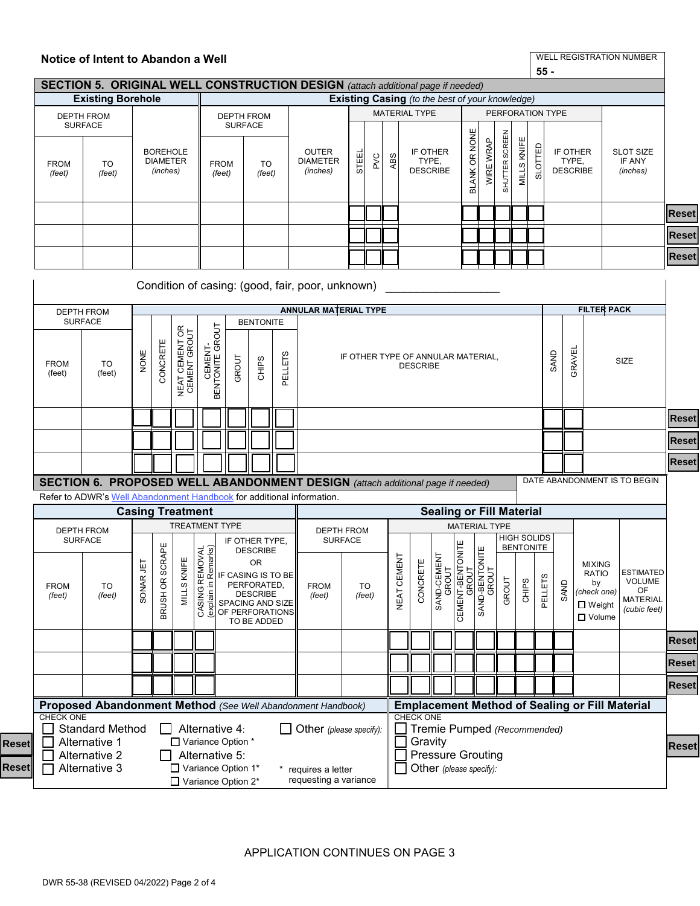|                       |                                                                       |           |                                                |                                | Notice of Intent to Abandon a Well<br>$55 -$<br><b>SECTION 5. ORIGINAL WELL CONSTRUCTION DESIGN</b> (attach additional page if needed) |                                                                                       |                                                                                                                                                       |                                             |                                                  |     |              |                                      |                                                                                               |                                 |                                                               |                |                  |         |                                    |                                      |        |                                                                                      |                                                                            |              |
|-----------------------|-----------------------------------------------------------------------|-----------|------------------------------------------------|--------------------------------|----------------------------------------------------------------------------------------------------------------------------------------|---------------------------------------------------------------------------------------|-------------------------------------------------------------------------------------------------------------------------------------------------------|---------------------------------------------|--------------------------------------------------|-----|--------------|--------------------------------------|-----------------------------------------------------------------------------------------------|---------------------------------|---------------------------------------------------------------|----------------|------------------|---------|------------------------------------|--------------------------------------|--------|--------------------------------------------------------------------------------------|----------------------------------------------------------------------------|--------------|
|                       |                                                                       |           |                                                |                                |                                                                                                                                        |                                                                                       |                                                                                                                                                       |                                             |                                                  |     |              |                                      |                                                                                               |                                 |                                                               |                |                  |         |                                    |                                      |        |                                                                                      |                                                                            |              |
|                       | <b>Existing Borehole</b>                                              |           |                                                |                                |                                                                                                                                        |                                                                                       |                                                                                                                                                       |                                             |                                                  |     |              |                                      | Existing Casing (to the best of your knowledge)<br><b>MATERIAL TYPE</b>                       |                                 |                                                               |                |                  |         |                                    |                                      |        |                                                                                      |                                                                            |              |
|                       | <b>DEPTH FROM</b><br><b>SURFACE</b>                                   |           |                                                |                                |                                                                                                                                        | <b>SURFACE</b>                                                                        | <b>DEPTH FROM</b>                                                                                                                                     |                                             |                                                  |     |              |                                      |                                                                                               |                                 |                                                               |                | PERFORATION TYPE |         |                                    |                                      |        |                                                                                      |                                                                            |              |
| <b>FROM</b><br>(feet) | <b>TO</b><br>(feet)                                                   |           | <b>BOREHOLE</b><br><b>DIAMETER</b><br>(inches) |                                | <b>FROM</b><br>(feet)                                                                                                                  |                                                                                       | <b>TO</b><br>(feet)                                                                                                                                   | <b>OUTER</b><br><b>DIAMETER</b><br>(inches) | STEEI                                            | PVC | ABS          | IF OTHER<br>TYPE,<br><b>DESCRIBE</b> |                                                                                               | BLANK OR NONE                   | WIRE WRAP                                                     | SHUTTER SCREEN | KNIFE<br>MILLS   | SLOTTED |                                    | IF OTHER<br>TYPE,<br><b>DESCRIBE</b> |        | <b>SLOT SIZE</b><br>IF ANY<br>(inches)                                               |                                                                            |              |
|                       |                                                                       |           |                                                |                                |                                                                                                                                        |                                                                                       |                                                                                                                                                       |                                             |                                                  |     |              |                                      |                                                                                               |                                 |                                                               |                |                  |         |                                    |                                      |        |                                                                                      |                                                                            | <b>Reset</b> |
|                       |                                                                       |           |                                                |                                |                                                                                                                                        |                                                                                       |                                                                                                                                                       |                                             |                                                  |     |              |                                      |                                                                                               |                                 |                                                               |                |                  |         |                                    |                                      |        |                                                                                      |                                                                            | Reset        |
|                       |                                                                       |           |                                                |                                |                                                                                                                                        |                                                                                       |                                                                                                                                                       |                                             |                                                  |     |              |                                      |                                                                                               |                                 |                                                               |                |                  |         |                                    |                                      |        |                                                                                      |                                                                            | <b>Reset</b> |
|                       |                                                                       |           |                                                |                                |                                                                                                                                        |                                                                                       |                                                                                                                                                       |                                             | Condition of casing: (good, fair, poor, unknown) |     |              |                                      |                                                                                               |                                 |                                                               |                |                  |         |                                    |                                      |        |                                                                                      |                                                                            |              |
|                       | <b>DEPTH FROM</b>                                                     |           |                                                |                                |                                                                                                                                        |                                                                                       |                                                                                                                                                       |                                             | ANNULAR MATERIAL TYPE                            |     |              |                                      |                                                                                               |                                 |                                                               |                |                  |         |                                    |                                      |        | <b>FILTER PACK</b>                                                                   |                                                                            |              |
|                       | <b>SURFACE</b>                                                        |           |                                                |                                |                                                                                                                                        |                                                                                       | <b>BENTONITE</b>                                                                                                                                      |                                             |                                                  |     |              |                                      |                                                                                               |                                 |                                                               |                |                  |         |                                    |                                      |        |                                                                                      |                                                                            |              |
| <b>FROM</b><br>(feet) | TO<br>(feet)                                                          | NONE      | CONCRETE                                       | NEAT CEMENT OR<br>CEMENT GROUT | CEMENT-<br>BENTONITE GROUT                                                                                                             | GROUT                                                                                 | CHIPS                                                                                                                                                 | <b>PELLETS</b>                              |                                                  |     |              |                                      | IF OTHER TYPE OF ANNULAR MATERIAL,<br><b>DESCRIBE</b>                                         |                                 |                                                               |                |                  |         |                                    | <b>GAND</b>                          | GRAVEL |                                                                                      | <b>SIZE</b>                                                                |              |
|                       |                                                                       |           |                                                |                                |                                                                                                                                        |                                                                                       |                                                                                                                                                       |                                             |                                                  |     |              |                                      |                                                                                               |                                 |                                                               |                |                  |         |                                    |                                      |        |                                                                                      |                                                                            | <b>Reset</b> |
|                       |                                                                       |           |                                                |                                |                                                                                                                                        |                                                                                       |                                                                                                                                                       |                                             |                                                  |     |              |                                      |                                                                                               |                                 |                                                               |                |                  |         |                                    |                                      |        | <b>Reset</b>                                                                         |                                                                            |              |
|                       |                                                                       |           |                                                |                                |                                                                                                                                        |                                                                                       |                                                                                                                                                       |                                             |                                                  |     |              |                                      |                                                                                               |                                 |                                                               |                |                  |         |                                    |                                      |        |                                                                                      |                                                                            |              |
|                       |                                                                       |           |                                                |                                |                                                                                                                                        | <b>SECTION 6. PROPOSED WELL ABANDONMENT DESIGN</b> (attach additional page if needed) |                                                                                                                                                       |                                             |                                                  |     |              | DATE ABANDONMENT IS TO BEGIN         |                                                                                               |                                 |                                                               |                |                  |         |                                    |                                      |        |                                                                                      |                                                                            |              |
|                       | Refer to ADWR's Well Abandonment Handbook for additional information. |           |                                                |                                |                                                                                                                                        |                                                                                       |                                                                                                                                                       |                                             |                                                  |     |              |                                      |                                                                                               |                                 |                                                               |                |                  |         |                                    |                                      |        |                                                                                      |                                                                            |              |
|                       |                                                                       |           |                                                | <b>Casing Treatment</b>        |                                                                                                                                        |                                                                                       |                                                                                                                                                       |                                             |                                                  |     |              |                                      |                                                                                               | <b>Sealing or Fill Material</b> |                                                               |                |                  |         |                                    |                                      |        |                                                                                      |                                                                            |              |
|                       | <b>DEPTH FROM</b><br><b>SURFACE</b>                                   |           |                                                |                                | <b>TREATMENT TYPE</b>                                                                                                                  |                                                                                       |                                                                                                                                                       |                                             | <b>DEPTH FROM</b>                                |     |              |                                      |                                                                                               |                                 | <b>MATERIAL TYPE</b>                                          |                |                  |         | HIGH SOLIDS                        |                                      |        |                                                                                      |                                                                            |              |
| <b>FROM</b><br>(feet) | TO<br>(feet)                                                          | SONAR JET | BRUSH OR SCRAPE                                | S KNIFE<br>TTIM                | REMOVAL<br>in Remarks)<br>Ξ.<br>CASING                                                                                                 |                                                                                       | IF OTHER TYPE,<br><b>DESCRIBE</b><br>OR<br>IF CASING IS TO BE<br>PERFORATED,<br>E DESCRIBE<br>SPACING AND SIZE<br>SPACING AND SIZE<br>OF PERFORATIONS |                                             | <b>SURFACE</b><br><b>FROM</b><br>(feet)          |     | TO<br>(feet) | ⊢<br>NEAT CEMEN                      | CONCRETE                                                                                      | SAND-CEMENT<br>GROUT            | CEMENT-BENTONITE<br>SAND-BENTONITE<br>SAND-BENTONITE<br>GROUT |                | GROUT            | CHIPS   | <b>BENTONITE</b><br><b>PELLETS</b> | SAND                                 |        | <b>MIXING</b><br><b>RATIO</b><br>by<br>(check one)<br>$\Box$ Weight<br>$\Box$ Volume | <b>ESTIMATED</b><br><b>VOLUME</b><br>OF<br><b>MATERIAL</b><br>(cubic feet) |              |
|                       |                                                                       |           |                                                |                                |                                                                                                                                        |                                                                                       | TO BE ADDED                                                                                                                                           |                                             |                                                  |     |              |                                      |                                                                                               |                                 |                                                               |                |                  |         |                                    |                                      |        |                                                                                      |                                                                            | <b>Reset</b> |
|                       |                                                                       |           |                                                |                                |                                                                                                                                        |                                                                                       |                                                                                                                                                       |                                             |                                                  |     |              |                                      |                                                                                               |                                 |                                                               |                |                  |         |                                    |                                      |        |                                                                                      |                                                                            | Reset        |
|                       |                                                                       |           |                                                |                                |                                                                                                                                        |                                                                                       |                                                                                                                                                       |                                             |                                                  |     |              |                                      |                                                                                               |                                 |                                                               |                |                  |         |                                    |                                      |        |                                                                                      |                                                                            | <b>Reset</b> |
|                       | Proposed Abandonment Method (See Well Abandonment Handbook)           |           |                                                |                                |                                                                                                                                        |                                                                                       |                                                                                                                                                       |                                             |                                                  |     |              |                                      |                                                                                               |                                 |                                                               |                |                  |         |                                    |                                      |        |                                                                                      | <b>Emplacement Method of Sealing or Fill Material</b>                      |              |
| <b>CHECK ONE</b>      | <b>Standard Method</b>                                                |           |                                                |                                | Alternative 4:                                                                                                                         |                                                                                       |                                                                                                                                                       |                                             | Other (please specify):                          |     |              |                                      | <b>CHECK ONE</b>                                                                              |                                 |                                                               |                |                  |         |                                    |                                      |        |                                                                                      |                                                                            |              |
|                       | Alternative 1<br><b>Alternative 2</b><br>Alternative 3                |           |                                                |                                |                                                                                                                                        | □ Variance Option *<br>Alternative 5:<br>□ Variance Option 1*<br>* requires a letter  |                                                                                                                                                       |                                             |                                                  |     |              |                                      | Tremie Pumped (Recommended)<br>Gravity<br><b>Pressure Grouting</b><br>Other (please specify): |                                 |                                                               |                |                  |         |                                    |                                      |        | <b>Reset</b>                                                                         |                                                                            |              |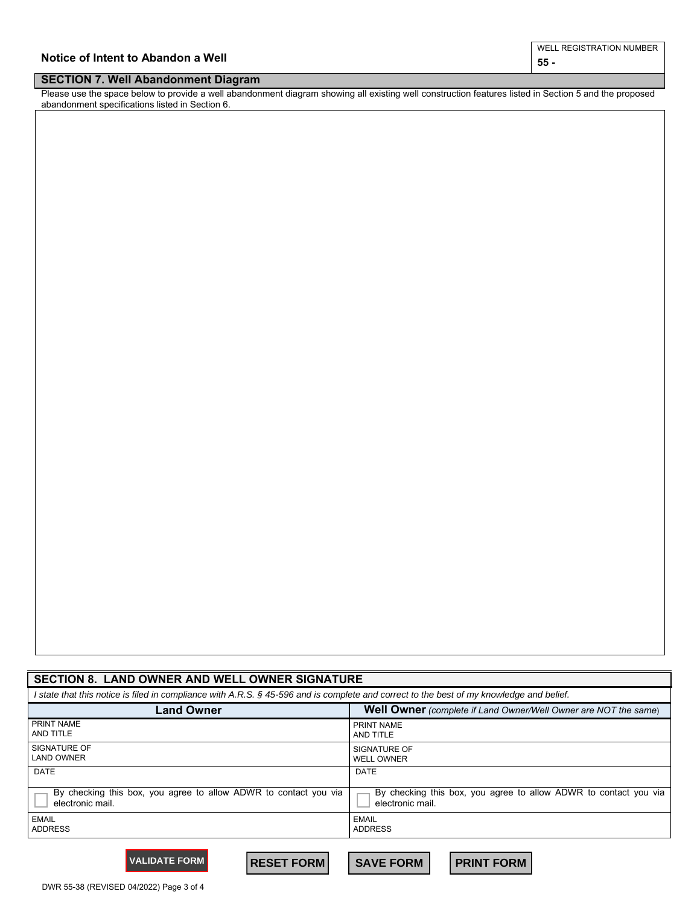| Notice of Intent to Abandon a Well<br>___<br>_________ | 55.                           |
|--------------------------------------------------------|-------------------------------|
|                                                        | L REGISTRATION NUMBER<br>WELL |

## **SECTION 7. Well Abandonment Diagram**

Please use the space below to provide a well abandonment diagram showing all existing well construction features listed in Section 5 and the proposed abandonment specifications listed in Section 6.

| <b>SECTION 8. LAND OWNER AND WELL OWNER SIGNATURE</b>                                                                                    |                                                                  |  |  |  |  |  |  |  |  |
|------------------------------------------------------------------------------------------------------------------------------------------|------------------------------------------------------------------|--|--|--|--|--|--|--|--|
| I state that this notice is filed in compliance with A.R.S. § 45-596 and is complete and correct to the best of my knowledge and belief. |                                                                  |  |  |  |  |  |  |  |  |
| <b>Land Owner</b>                                                                                                                        | Well Owner (complete if Land Owner/Well Owner are NOT the same)  |  |  |  |  |  |  |  |  |
| PRINT NAME                                                                                                                               | PRINT NAME                                                       |  |  |  |  |  |  |  |  |
| AND TITLE                                                                                                                                | AND TITLE                                                        |  |  |  |  |  |  |  |  |
| SIGNATURE OF                                                                                                                             | SIGNATURE OF                                                     |  |  |  |  |  |  |  |  |
| <b>LAND OWNER</b>                                                                                                                        | <b>WELL OWNER</b>                                                |  |  |  |  |  |  |  |  |
| <b>DATE</b>                                                                                                                              | <b>DATE</b>                                                      |  |  |  |  |  |  |  |  |
| By checking this box, you agree to allow ADWR to contact you via                                                                         | By checking this box, you agree to allow ADWR to contact you via |  |  |  |  |  |  |  |  |
| electronic mail.                                                                                                                         | electronic mail.                                                 |  |  |  |  |  |  |  |  |
| <b>EMAIL</b>                                                                                                                             | EMAIL                                                            |  |  |  |  |  |  |  |  |
| <b>ADDRESS</b>                                                                                                                           | <b>ADDRESS</b>                                                   |  |  |  |  |  |  |  |  |

**VALIDATE FORM RESET FORM SAVE FORM PRINT FORM**